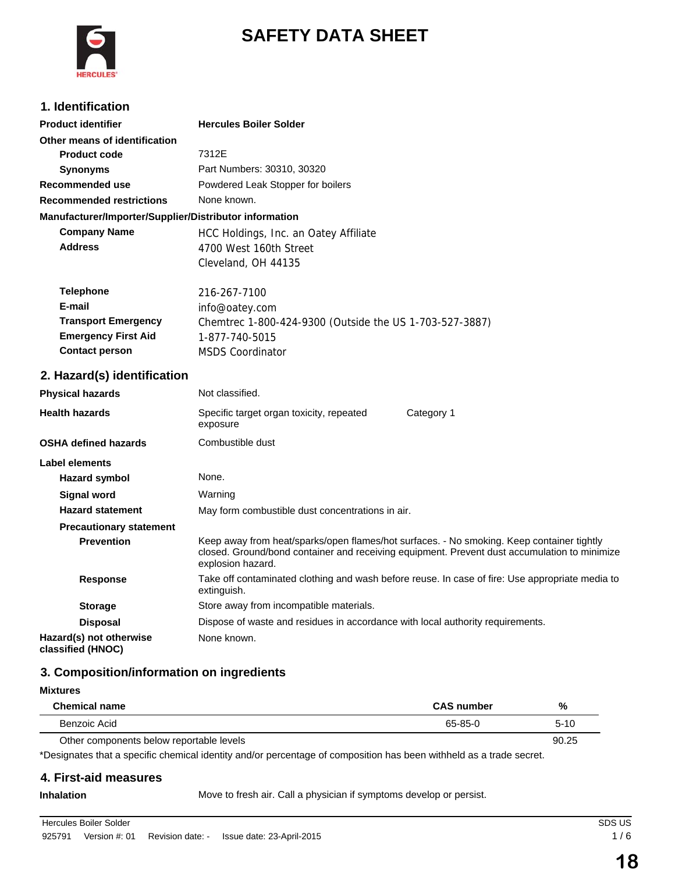

# **SAFETY DATA SHEET**

## **1. Identification**

| <b>Product identifier</b>                              | <b>Hercules Boiler Solder</b>                           |  |
|--------------------------------------------------------|---------------------------------------------------------|--|
| Other means of identification                          |                                                         |  |
| <b>Product code</b>                                    | 7312E                                                   |  |
| <b>Synonyms</b>                                        | Part Numbers: 30310, 30320                              |  |
| Recommended use                                        | Powdered Leak Stopper for boilers                       |  |
| <b>Recommended restrictions</b>                        | None known.                                             |  |
| Manufacturer/Importer/Supplier/Distributor information |                                                         |  |
| <b>Company Name</b>                                    | HCC Holdings, Inc. an Oatey Affiliate                   |  |
| <b>Address</b>                                         | 4700 West 160th Street                                  |  |
|                                                        | Cleveland, OH 44135                                     |  |
| <b>Telephone</b>                                       | 216-267-7100                                            |  |
| E-mail                                                 | info@oatey.com                                          |  |
| <b>Transport Emergency</b>                             | Chemtrec 1-800-424-9300 (Outside the US 1-703-527-3887) |  |
| <b>Emergency First Aid</b>                             | 1-877-740-5015                                          |  |
| <b>Contact person</b>                                  | <b>MSDS Coordinator</b>                                 |  |

## **2. Hazard(s) identification**

| <b>Physical hazards</b>                      | Not classified.                                                                                                                                                                                                |            |  |
|----------------------------------------------|----------------------------------------------------------------------------------------------------------------------------------------------------------------------------------------------------------------|------------|--|
| <b>Health hazards</b>                        | Specific target organ toxicity, repeated<br>exposure                                                                                                                                                           | Category 1 |  |
| <b>OSHA defined hazards</b>                  | Combustible dust                                                                                                                                                                                               |            |  |
| Label elements                               |                                                                                                                                                                                                                |            |  |
| Hazard symbol                                | None.                                                                                                                                                                                                          |            |  |
| Signal word                                  | Warning                                                                                                                                                                                                        |            |  |
| <b>Hazard statement</b>                      | May form combustible dust concentrations in air.                                                                                                                                                               |            |  |
| <b>Precautionary statement</b>               |                                                                                                                                                                                                                |            |  |
| <b>Prevention</b>                            | Keep away from heat/sparks/open flames/hot surfaces. - No smoking. Keep container tightly<br>closed. Ground/bond container and receiving equipment. Prevent dust accumulation to minimize<br>explosion hazard. |            |  |
| <b>Response</b>                              | Take off contaminated clothing and wash before reuse. In case of fire: Use appropriate media to<br>extinguish.                                                                                                 |            |  |
| <b>Storage</b>                               | Store away from incompatible materials.                                                                                                                                                                        |            |  |
| <b>Disposal</b>                              | Dispose of waste and residues in accordance with local authority requirements.                                                                                                                                 |            |  |
| Hazard(s) not otherwise<br>classified (HNOC) | None known.                                                                                                                                                                                                    |            |  |

## **3. Composition/information on ingredients**

### **Mixtures**

| <b>Chemical name</b>                     | <b>CAS number</b> | %      |
|------------------------------------------|-------------------|--------|
| Benzoic Acid                             | 65-85-0           | $5-10$ |
| Other components below reportable levels |                   | 90.25  |

\*Designates that a specific chemical identity and/or percentage of composition has been withheld as a trade secret.

### **4. First-aid measures**

**Inhalation** Move to fresh air. Call a physician if symptoms develop or persist.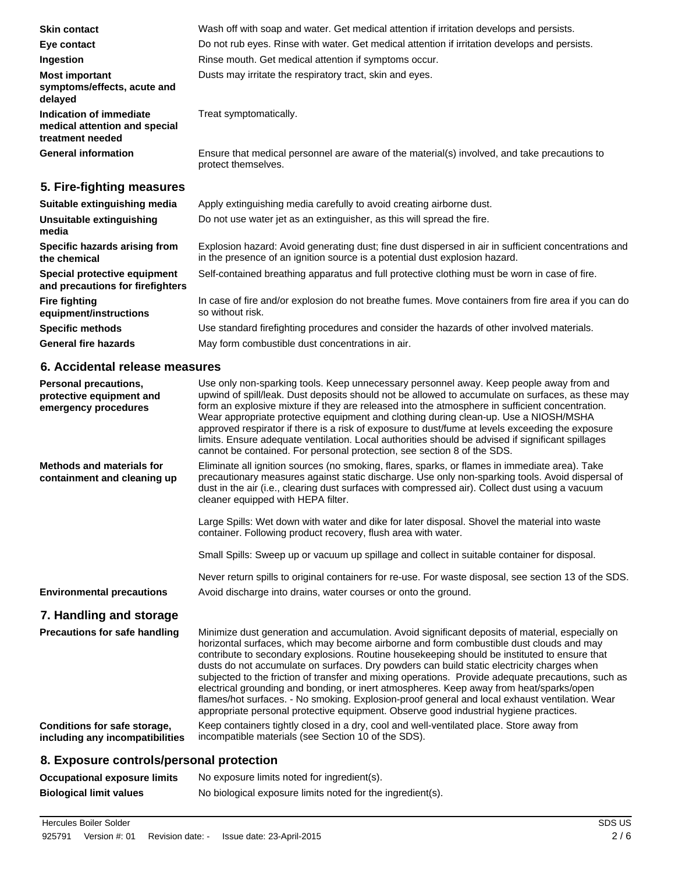| <b>Skin contact</b>                                                          | Wash off with soap and water. Get medical attention if irritation develops and persists.                                                                                                                                                                                                                                                                                                                                                                                                                                                                                                                                                                                    |
|------------------------------------------------------------------------------|-----------------------------------------------------------------------------------------------------------------------------------------------------------------------------------------------------------------------------------------------------------------------------------------------------------------------------------------------------------------------------------------------------------------------------------------------------------------------------------------------------------------------------------------------------------------------------------------------------------------------------------------------------------------------------|
| Eye contact                                                                  | Do not rub eyes. Rinse with water. Get medical attention if irritation develops and persists.                                                                                                                                                                                                                                                                                                                                                                                                                                                                                                                                                                               |
| Ingestion                                                                    | Rinse mouth. Get medical attention if symptoms occur.                                                                                                                                                                                                                                                                                                                                                                                                                                                                                                                                                                                                                       |
| <b>Most important</b><br>symptoms/effects, acute and<br>delayed              | Dusts may irritate the respiratory tract, skin and eyes.                                                                                                                                                                                                                                                                                                                                                                                                                                                                                                                                                                                                                    |
| Indication of immediate<br>medical attention and special<br>treatment needed | Treat symptomatically.                                                                                                                                                                                                                                                                                                                                                                                                                                                                                                                                                                                                                                                      |
| <b>General information</b>                                                   | Ensure that medical personnel are aware of the material(s) involved, and take precautions to<br>protect themselves.                                                                                                                                                                                                                                                                                                                                                                                                                                                                                                                                                         |
| 5. Fire-fighting measures                                                    |                                                                                                                                                                                                                                                                                                                                                                                                                                                                                                                                                                                                                                                                             |
| Suitable extinguishing media                                                 | Apply extinguishing media carefully to avoid creating airborne dust.                                                                                                                                                                                                                                                                                                                                                                                                                                                                                                                                                                                                        |
| Unsuitable extinguishing<br>media                                            | Do not use water jet as an extinguisher, as this will spread the fire.                                                                                                                                                                                                                                                                                                                                                                                                                                                                                                                                                                                                      |
| Specific hazards arising from<br>the chemical                                | Explosion hazard: Avoid generating dust; fine dust dispersed in air in sufficient concentrations and<br>in the presence of an ignition source is a potential dust explosion hazard.                                                                                                                                                                                                                                                                                                                                                                                                                                                                                         |
| Special protective equipment<br>and precautions for firefighters             | Self-contained breathing apparatus and full protective clothing must be worn in case of fire.                                                                                                                                                                                                                                                                                                                                                                                                                                                                                                                                                                               |
| <b>Fire fighting</b><br>equipment/instructions                               | In case of fire and/or explosion do not breathe fumes. Move containers from fire area if you can do<br>so without risk.                                                                                                                                                                                                                                                                                                                                                                                                                                                                                                                                                     |
| <b>Specific methods</b>                                                      | Use standard firefighting procedures and consider the hazards of other involved materials.                                                                                                                                                                                                                                                                                                                                                                                                                                                                                                                                                                                  |
| <b>General fire hazards</b>                                                  | May form combustible dust concentrations in air.                                                                                                                                                                                                                                                                                                                                                                                                                                                                                                                                                                                                                            |
| 6. Accidental release measures                                               |                                                                                                                                                                                                                                                                                                                                                                                                                                                                                                                                                                                                                                                                             |
| Personal precautions,<br>protective equipment and<br>emergency procedures    | Use only non-sparking tools. Keep unnecessary personnel away. Keep people away from and<br>upwind of spill/leak. Dust deposits should not be allowed to accumulate on surfaces, as these may<br>form an explosive mixture if they are released into the atmosphere in sufficient concentration.<br>Wear appropriate protective equipment and clothing during clean-up. Use a NIOSH/MSHA<br>approved respirator if there is a risk of exposure to dust/fume at levels exceeding the exposure<br>limits. Ensure adequate ventilation. Local authorities should be advised if significant spillages<br>cannot be contained. For personal protection, see section 8 of the SDS. |
| <b>Methods and materials for</b><br>containment and cleaning up              | Eliminate all ignition sources (no smoking, flares, sparks, or flames in immediate area). Take<br>precautionary measures against static discharge. Use only non-sparking tools. Avoid dispersal of<br>dust in the air (i.e., clearing dust surfaces with compressed air). Collect dust using a vacuum<br>cleaner equipped with HEPA filter.                                                                                                                                                                                                                                                                                                                                 |
|                                                                              | Large Spills: Wet down with water and dike for later disposal. Shovel the material into waste<br>container. Following product recovery, flush area with water.                                                                                                                                                                                                                                                                                                                                                                                                                                                                                                              |
|                                                                              | Small Spills: Sweep up or vacuum up spillage and collect in suitable container for disposal.                                                                                                                                                                                                                                                                                                                                                                                                                                                                                                                                                                                |
| <b>Environmental precautions</b>                                             | Never return spills to original containers for re-use. For waste disposal, see section 13 of the SDS.<br>Avoid discharge into drains, water courses or onto the ground.                                                                                                                                                                                                                                                                                                                                                                                                                                                                                                     |

## **7. Handling and storage**

| <b>Precautions for safe handling</b> | Minimize dust generation and accumulation. Avoid significant deposits of material, especially on<br>horizontal surfaces, which may become airborne and form combustible dust clouds and may<br>contribute to secondary explosions. Routine housekeeping should be instituted to ensure that<br>dusts do not accumulate on surfaces. Dry powders can build static electricity charges when<br>subjected to the friction of transfer and mixing operations. Provide adequate precautions, such as<br>electrical grounding and bonding, or inert atmospheres. Keep away from heat/sparks/open<br>flames/hot surfaces. - No smoking. Explosion-proof general and local exhaust ventilation. Wear<br>appropriate personal protective equipment. Observe good industrial hygiene practices. |
|--------------------------------------|---------------------------------------------------------------------------------------------------------------------------------------------------------------------------------------------------------------------------------------------------------------------------------------------------------------------------------------------------------------------------------------------------------------------------------------------------------------------------------------------------------------------------------------------------------------------------------------------------------------------------------------------------------------------------------------------------------------------------------------------------------------------------------------|
| Conditions for safe storage,         | Keep containers tightly closed in a dry, cool and well-ventilated place. Store away from                                                                                                                                                                                                                                                                                                                                                                                                                                                                                                                                                                                                                                                                                              |
| including any incompatibilities      | incompatible materials (see Section 10 of the SDS).                                                                                                                                                                                                                                                                                                                                                                                                                                                                                                                                                                                                                                                                                                                                   |

# **8. Exposure controls/personal protection**

| Occupational exposure limits   | No exposure limits noted for ingredient(s).                |
|--------------------------------|------------------------------------------------------------|
| <b>Biological limit values</b> | No biological exposure limits noted for the ingredient(s). |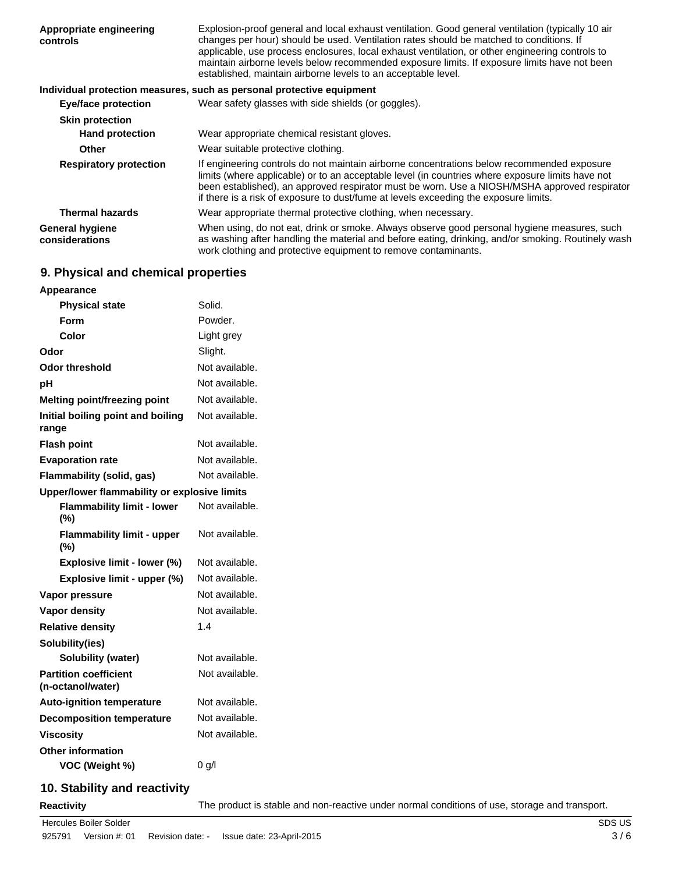| Appropriate engineering<br>controls      | Explosion-proof general and local exhaust ventilation. Good general ventilation (typically 10 air<br>changes per hour) should be used. Ventilation rates should be matched to conditions. If<br>applicable, use process enclosures, local exhaust ventilation, or other engineering controls to<br>maintain airborne levels below recommended exposure limits. If exposure limits have not been<br>established, maintain airborne levels to an acceptable level. |
|------------------------------------------|------------------------------------------------------------------------------------------------------------------------------------------------------------------------------------------------------------------------------------------------------------------------------------------------------------------------------------------------------------------------------------------------------------------------------------------------------------------|
|                                          | Individual protection measures, such as personal protective equipment                                                                                                                                                                                                                                                                                                                                                                                            |
| <b>Eye/face protection</b>               | Wear safety glasses with side shields (or goggles).                                                                                                                                                                                                                                                                                                                                                                                                              |
| <b>Skin protection</b>                   |                                                                                                                                                                                                                                                                                                                                                                                                                                                                  |
| <b>Hand protection</b>                   | Wear appropriate chemical resistant gloves.                                                                                                                                                                                                                                                                                                                                                                                                                      |
| <b>Other</b>                             | Wear suitable protective clothing.                                                                                                                                                                                                                                                                                                                                                                                                                               |
| <b>Respiratory protection</b>            | If engineering controls do not maintain airborne concentrations below recommended exposure<br>limits (where applicable) or to an acceptable level (in countries where exposure limits have not<br>been established), an approved respirator must be worn. Use a NIOSH/MSHA approved respirator<br>if there is a risk of exposure to dust/fume at levels exceeding the exposure limits.                                                                           |
| <b>Thermal hazards</b>                   | Wear appropriate thermal protective clothing, when necessary.                                                                                                                                                                                                                                                                                                                                                                                                    |
| <b>General hygiene</b><br>considerations | When using, do not eat, drink or smoke. Always observe good personal hygiene measures, such<br>as washing after handling the material and before eating, drinking, and/or smoking. Routinely wash<br>work clothing and protective equipment to remove contaminants.                                                                                                                                                                                              |

## **9. Physical and chemical properties**

| Appearance                                        |                |  |
|---------------------------------------------------|----------------|--|
| <b>Physical state</b>                             | Solid.         |  |
| Form                                              | Powder.        |  |
| Color                                             | Light grey     |  |
| Odor                                              | Slight.        |  |
| <b>Odor threshold</b>                             | Not available. |  |
| рH                                                | Not available. |  |
| Melting point/freezing point                      | Not available. |  |
| Initial boiling point and boiling<br>range        | Not available. |  |
| <b>Flash point</b>                                | Not available. |  |
| <b>Evaporation rate</b>                           | Not available. |  |
| Flammability (solid, gas)                         | Not available. |  |
| Upper/lower flammability or explosive limits      |                |  |
| <b>Flammability limit - lower</b><br>$(\% )$      | Not available. |  |
| <b>Flammability limit - upper</b><br>$(\%)$       | Not available. |  |
| Explosive limit - lower (%)                       | Not available. |  |
| Explosive limit - upper (%)                       | Not available. |  |
| Vapor pressure                                    | Not available. |  |
| <b>Vapor density</b>                              | Not available. |  |
| <b>Relative density</b>                           | 1.4            |  |
| Solubility(ies)                                   |                |  |
| <b>Solubility (water)</b>                         | Not available. |  |
| <b>Partition coefficient</b><br>(n-octanol/water) | Not available. |  |
| <b>Auto-ignition temperature</b>                  | Not available. |  |
| <b>Decomposition temperature</b>                  | Not available. |  |
| <b>Viscosity</b>                                  | Not available. |  |
|                                                   |                |  |
| Other information                                 |                |  |

## **10. Stability and reactivity**

**Reactivity** The product is stable and non-reactive under normal conditions of use, storage and transport.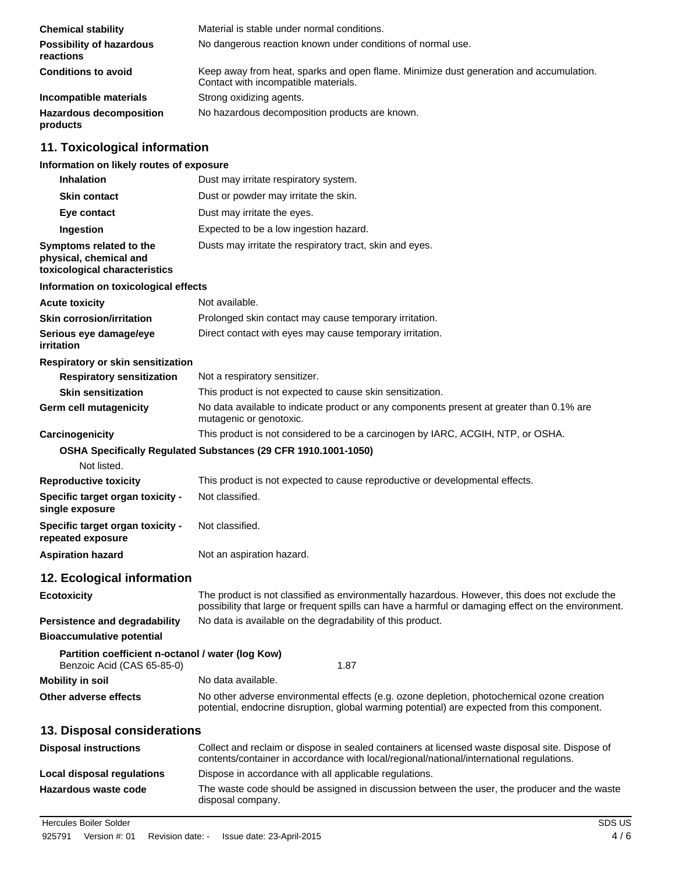| <b>Chemical stability</b>                    | Material is stable under normal conditions.                                                                                    |
|----------------------------------------------|--------------------------------------------------------------------------------------------------------------------------------|
| <b>Possibility of hazardous</b><br>reactions | No dangerous reaction known under conditions of normal use.                                                                    |
| <b>Conditions to avoid</b>                   | Keep away from heat, sparks and open flame. Minimize dust generation and accumulation.<br>Contact with incompatible materials. |
| Incompatible materials                       | Strong oxidizing agents.                                                                                                       |
| <b>Hazardous decomposition</b><br>products   | No hazardous decomposition products are known.                                                                                 |

## **11. Toxicological information**

#### **Information on likely routes of exposure**

| <b>Inhalation</b>                                                                  | Dust may irritate respiratory system.                                                                                                                                                                 |
|------------------------------------------------------------------------------------|-------------------------------------------------------------------------------------------------------------------------------------------------------------------------------------------------------|
| <b>Skin contact</b>                                                                | Dust or powder may irritate the skin.                                                                                                                                                                 |
| Eye contact                                                                        | Dust may irritate the eyes.                                                                                                                                                                           |
| Ingestion                                                                          | Expected to be a low ingestion hazard.                                                                                                                                                                |
| Symptoms related to the<br>physical, chemical and<br>toxicological characteristics | Dusts may irritate the respiratory tract, skin and eyes.                                                                                                                                              |
| Information on toxicological effects                                               |                                                                                                                                                                                                       |
| <b>Acute toxicity</b>                                                              | Not available.                                                                                                                                                                                        |
| <b>Skin corrosion/irritation</b>                                                   | Prolonged skin contact may cause temporary irritation.                                                                                                                                                |
| Serious eye damage/eye<br>irritation                                               | Direct contact with eyes may cause temporary irritation.                                                                                                                                              |
| Respiratory or skin sensitization                                                  |                                                                                                                                                                                                       |
| <b>Respiratory sensitization</b>                                                   | Not a respiratory sensitizer.                                                                                                                                                                         |
| <b>Skin sensitization</b>                                                          | This product is not expected to cause skin sensitization.                                                                                                                                             |
| Germ cell mutagenicity                                                             | No data available to indicate product or any components present at greater than 0.1% are<br>mutagenic or genotoxic.                                                                                   |
| Carcinogenicity                                                                    | This product is not considered to be a carcinogen by IARC, ACGIH, NTP, or OSHA.                                                                                                                       |
| Not listed.                                                                        | OSHA Specifically Regulated Substances (29 CFR 1910.1001-1050)                                                                                                                                        |
| <b>Reproductive toxicity</b>                                                       | This product is not expected to cause reproductive or developmental effects.                                                                                                                          |
| Specific target organ toxicity -<br>single exposure                                | Not classified.                                                                                                                                                                                       |
| Specific target organ toxicity -<br>repeated exposure                              | Not classified.                                                                                                                                                                                       |
| <b>Aspiration hazard</b>                                                           | Not an aspiration hazard.                                                                                                                                                                             |
| 12. Ecological information                                                         |                                                                                                                                                                                                       |
| <b>Ecotoxicity</b>                                                                 | The product is not classified as environmentally hazardous. However, this does not exclude the<br>possibility that large or frequent spills can have a harmful or damaging effect on the environment. |
| Persistence and degradability                                                      | No data is available on the degradability of this product.                                                                                                                                            |
| <b>Bioaccumulative potential</b>                                                   |                                                                                                                                                                                                       |
| Partition coefficient n-octanol / water (log Kow)<br>Benzoic Acid (CAS 65-85-0)    | 1.87                                                                                                                                                                                                  |
| <b>Mobility in soil</b>                                                            | No data available.                                                                                                                                                                                    |
| Other adverse effects                                                              | No other adverse environmental effects (e.g. ozone depletion, photochemical ozone creation<br>potential, endocrine disruption, global warming potential) are expected from this component.            |
| 13. Disposal considerations                                                        |                                                                                                                                                                                                       |
| <b>Disposal instructions</b>                                                       | Collect and reclaim or dispose in sealed containers at licensed waste disposal site. Dispose of<br>contents/container in accordance with local/regional/national/international regulations.           |

**Local disposal regulations** Dispose in accordance with all applicable regulations.

The waste code should be assigned in discussion between the user, the producer and the waste disposal company. **Hazardous waste code**

**Hercules Boiler Solder** Subset of the SDS US SDS US SDS US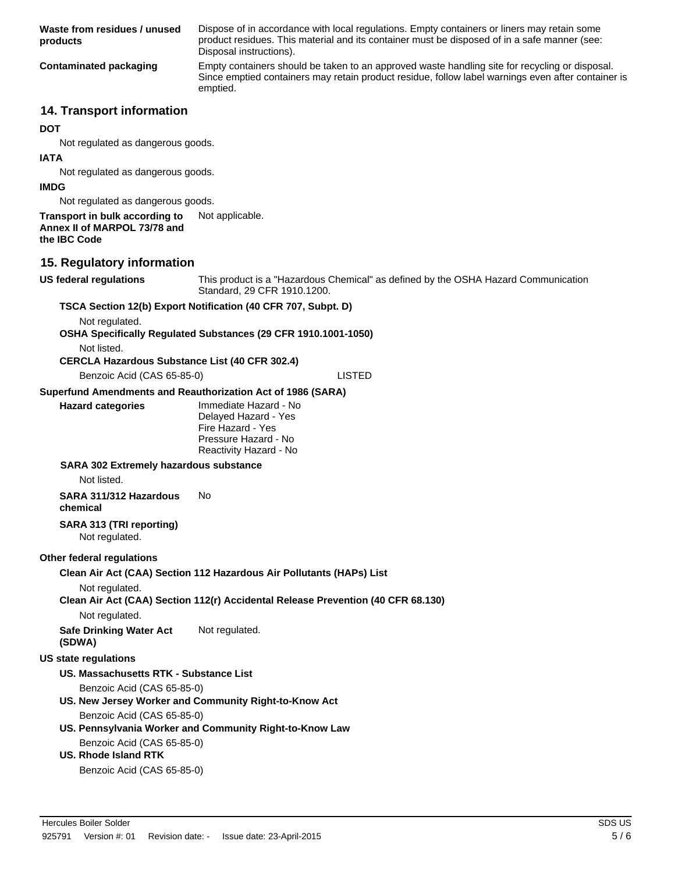| Waste from residues / unused<br>products                                       | Dispose of in accordance with local regulations. Empty containers or liners may retain some<br>product residues. This material and its container must be disposed of in a safe manner (see:<br>Disposal instructions). |
|--------------------------------------------------------------------------------|------------------------------------------------------------------------------------------------------------------------------------------------------------------------------------------------------------------------|
| <b>Contaminated packaging</b>                                                  | Empty containers should be taken to an approved waste handling site for recycling or disposal.<br>Since emptied containers may retain product residue, follow label warnings even after container is<br>emptied.       |
| <b>14. Transport information</b>                                               |                                                                                                                                                                                                                        |
| <b>DOT</b>                                                                     |                                                                                                                                                                                                                        |
| Not regulated as dangerous goods.                                              |                                                                                                                                                                                                                        |
| IATA                                                                           |                                                                                                                                                                                                                        |
| Not regulated as dangerous goods.                                              |                                                                                                                                                                                                                        |
| <b>IMDG</b>                                                                    |                                                                                                                                                                                                                        |
| Not regulated as dangerous goods.                                              |                                                                                                                                                                                                                        |
| Transport in bulk according to<br>Annex II of MARPOL 73/78 and<br>the IBC Code | Not applicable.                                                                                                                                                                                                        |
| 15. Regulatory information                                                     |                                                                                                                                                                                                                        |
| <b>US federal regulations</b>                                                  | This product is a "Hazardous Chemical" as defined by the OSHA Hazard Communication<br>Standard, 29 CFR 1910.1200.                                                                                                      |
|                                                                                | TSCA Section 12(b) Export Notification (40 CFR 707, Subpt. D)                                                                                                                                                          |
| Not regulated.                                                                 | OSHA Specifically Regulated Substances (29 CFR 1910.1001-1050)                                                                                                                                                         |
| Not listed.<br><b>CERCLA Hazardous Substance List (40 CFR 302.4)</b>           |                                                                                                                                                                                                                        |
| Benzoic Acid (CAS 65-85-0)                                                     | <b>LISTED</b>                                                                                                                                                                                                          |
| Superfund Amendments and Reauthorization Act of 1986 (SARA)                    |                                                                                                                                                                                                                        |
| <b>Hazard categories</b>                                                       | Immediate Hazard - No<br>Delayed Hazard - Yes<br>Fire Hazard - Yes<br>Pressure Hazard - No<br>Reactivity Hazard - No                                                                                                   |
| <b>SARA 302 Extremely hazardous substance</b>                                  |                                                                                                                                                                                                                        |
| Not listed.                                                                    |                                                                                                                                                                                                                        |
| SARA 311/312 Hazardous<br>chemical                                             | No                                                                                                                                                                                                                     |
| SARA 313 (TRI reporting)<br>Not regulated.                                     |                                                                                                                                                                                                                        |
| Other federal regulations                                                      |                                                                                                                                                                                                                        |
|                                                                                | Clean Air Act (CAA) Section 112 Hazardous Air Pollutants (HAPs) List                                                                                                                                                   |
| Not regulated.                                                                 | Clean Air Act (CAA) Section 112(r) Accidental Release Prevention (40 CFR 68.130)                                                                                                                                       |
| Not regulated.                                                                 |                                                                                                                                                                                                                        |
| <b>Safe Drinking Water Act</b><br>(SDWA)                                       | Not regulated.                                                                                                                                                                                                         |
| <b>US state regulations</b>                                                    |                                                                                                                                                                                                                        |
| US. Massachusetts RTK - Substance List                                         |                                                                                                                                                                                                                        |
| Benzoic Acid (CAS 65-85-0)                                                     | US. New Jersey Worker and Community Right-to-Know Act                                                                                                                                                                  |
| Benzoic Acid (CAS 65-85-0)                                                     | US. Pennsylvania Worker and Community Right-to-Know Law                                                                                                                                                                |
| Benzoic Acid (CAS 65-85-0)<br><b>US. Rhode Island RTK</b>                      |                                                                                                                                                                                                                        |
| Benzoic Acid (CAS 65-85-0)                                                     |                                                                                                                                                                                                                        |